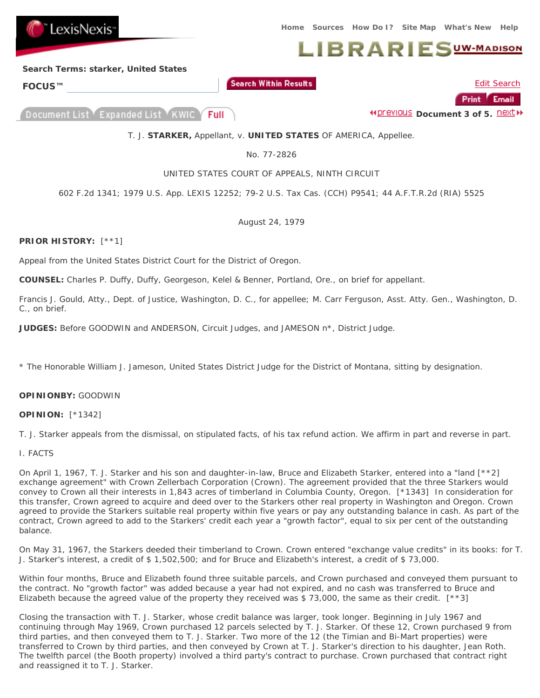

# LIBRARIESUW-MADISON

## **Search Terms: starker, United States**

<code>Document</code> List  $\blacktriangledown$  <code>Expanded</code> List  $\blacktriangledown$ KWIC  $\char`$ Full

**FOCUS™** Edit Search Within Results **Construction Search Within Results Edit Search** 

Email Print

**HIDEPVIOUS Document 3 of 5. DEXTH** 

T. J. **STARKER,** Appellant, v. **UNITED STATES** OF AMERICA, Appellee.

No. 77-2826

## UNITED STATES COURT OF APPEALS, NINTH CIRCUIT

602 F.2d 1341; 1979 U.S. App. LEXIS 12252; 79-2 U.S. Tax Cas. (CCH) P9541; 44 A.F.T.R.2d (RIA) 5525

August 24, 1979

## **PRIOR HISTORY:** [\*\*1]

Appeal from the United States District Court for the District of Oregon.

**COUNSEL:** Charles P. Duffy, Duffy, Georgeson, Kelel & Benner, Portland, Ore., on brief for appellant.

Francis J. Gould, Atty., Dept. of Justice, Washington, D. C., for appellee; M. Carr Ferguson, Asst. Atty. Gen., Washington, D. C., on brief.

**JUDGES:** Before GOODWIN and ANDERSON, Circuit Judges, and JAMESON n\*, District Judge.

\* The Honorable William J. Jameson, United States District Judge for the District of Montana, sitting by designation.

#### **OPINIONBY:** GOODWIN

#### **OPINION:** [\*1342]

T. J. Starker appeals from the dismissal, on stipulated facts, of his tax refund action. We affirm in part and reverse in part.

## I. FACTS

On April 1, 1967, T. J. Starker and his son and daughter-in-law, Bruce and Elizabeth Starker, entered into a "land [\*\*2] exchange agreement" with Crown Zellerbach Corporation (Crown). The agreement provided that the three Starkers would convey to Crown all their interests in 1,843 acres of timberland in Columbia County, Oregon. [\*1343] In consideration for this transfer, Crown agreed to acquire and deed over to the Starkers other real property in Washington and Oregon. Crown agreed to provide the Starkers suitable real property within five years or pay any outstanding balance in cash. As part of the contract, Crown agreed to add to the Starkers' credit each year a "growth factor", equal to six per cent of the outstanding balance.

On May 31, 1967, the Starkers deeded their timberland to Crown. Crown entered "exchange value credits" in its books: for T. J. Starker's interest, a credit of \$ 1,502,500; and for Bruce and Elizabeth's interest, a credit of \$ 73,000.

Within four months, Bruce and Elizabeth found three suitable parcels, and Crown purchased and conveyed them pursuant to the contract. No "growth factor" was added because a year had not expired, and no cash was transferred to Bruce and Elizabeth because the agreed value of the property they received was \$73,000, the same as their credit.  $[^{**}3]$ 

Closing the transaction with T. J. Starker, whose credit balance was larger, took longer. Beginning in July 1967 and continuing through May 1969, Crown purchased 12 parcels selected by T. J. Starker. Of these 12, Crown purchased 9 from third parties, and then conveyed them to T. J. Starker. Two more of the 12 (the Timian and Bi-Mart properties) were transferred to Crown by third parties, and then conveyed by Crown at T. J. Starker's direction to his daughter, Jean Roth. The twelfth parcel (the Booth property) involved a third party's contract to purchase. Crown purchased that contract right and reassigned it to T. J. Starker.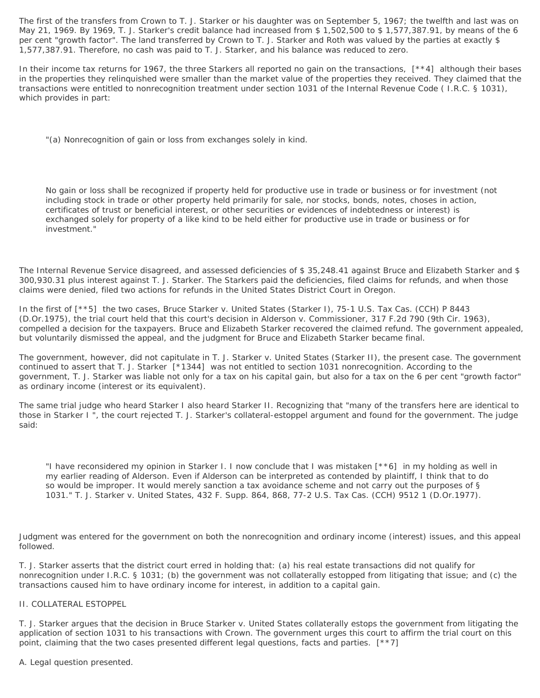The first of the transfers from Crown to T. J. Starker or his daughter was on September 5, 1967; the twelfth and last was on May 21, 1969. By 1969, T. J. Starker's credit balance had increased from \$ 1,502,500 to \$ 1,577,387.91, by means of the 6 per cent "growth factor". The land transferred by Crown to T. J. Starker and Roth was valued by the parties at exactly \$ 1,577,387.91. Therefore, no cash was paid to T. J. Starker, and his balance was reduced to zero.

In their income tax returns for 1967, the three Starkers all reported no gain on the transactions, [\*\*4] although their bases in the properties they relinquished were smaller than the market value of the properties they received. They claimed that the transactions were entitled to nonrecognition treatment under section 1031 of the Internal Revenue Code ( I.R.C. § 1031), which provides in part:

"(a) Nonrecognition of gain or loss from exchanges solely in kind.

No gain or loss shall be recognized if property held for productive use in trade or business or for investment (not including stock in trade or other property held primarily for sale, nor stocks, bonds, notes, choses in action, certificates of trust or beneficial interest, or other securities or evidences of indebtedness or interest) is exchanged solely for property of a like kind to be held either for productive use in trade or business or for investment."

The Internal Revenue Service disagreed, and assessed deficiencies of \$35,248.41 against Bruce and Elizabeth Starker and \$ 300,930.31 plus interest against T. J. Starker. The Starkers paid the deficiencies, filed claims for refunds, and when those claims were denied, filed two actions for refunds in the United States District Court in Oregon.

In the first of [\*\*5] the two cases, Bruce Starker v. United States (Starker I), 75-1 U.S. Tax Cas. (CCH) P 8443 (D.Or.1975), the trial court held that this court's decision in Alderson v. Commissioner, 317 F.2d 790 (9th Cir. 1963), compelled a decision for the taxpayers. Bruce and Elizabeth Starker recovered the claimed refund. The government appealed, but voluntarily dismissed the appeal, and the judgment for Bruce and Elizabeth Starker became final.

The government, however, did not capitulate in T. J. Starker v. United States (Starker II), the present case. The government continued to assert that T. J. Starker [\*1344] was not entitled to section 1031 nonrecognition. According to the government, T. J. Starker was liable not only for a tax on his capital gain, but also for a tax on the 6 per cent "growth factor" as ordinary income (interest or its equivalent).

The same trial judge who heard Starker I also heard Starker II. Recognizing that "many of the transfers here are identical to those in Starker I ", the court rejected T. J. Starker's collateral-estoppel argument and found for the government. The judge said:

"I have reconsidered my opinion in Starker I. I now conclude that I was mistaken [\*\*6] in my holding as well in my earlier reading of Alderson. Even if Alderson can be interpreted as contended by plaintiff, I think that to do so would be improper. It would merely sanction a tax avoidance scheme and not carry out the purposes of § 1031." T. J. Starker v. United States, 432 F. Supp. 864, 868, 77-2 U.S. Tax Cas. (CCH) 9512 1 (D.Or.1977).

Judgment was entered for the government on both the nonrecognition and ordinary income (interest) issues, and this appeal followed.

T. J. Starker asserts that the district court erred in holding that: (a) his real estate transactions did not qualify for nonrecognition under I.R.C. § 1031; (b) the government was not collaterally estopped from litigating that issue; and (c) the transactions caused him to have ordinary income for interest, in addition to a capital gain.

## II. COLLATERAL ESTOPPEL

T. J. Starker argues that the decision in Bruce Starker v. United States collaterally estops the government from litigating the application of section 1031 to his transactions with Crown. The government urges this court to affirm the trial court on this point, claiming that the two cases presented different legal questions, facts and parties. [\*\*7]

A. Legal question presented.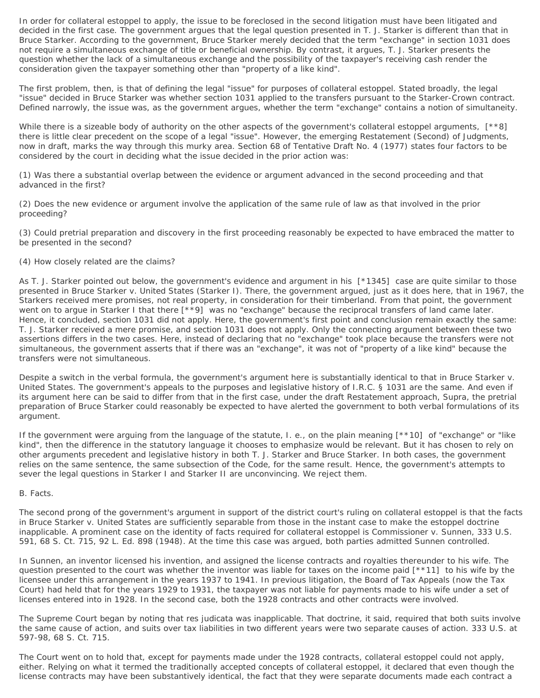In order for collateral estoppel to apply, the issue to be foreclosed in the second litigation must have been litigated and decided in the first case. The government argues that the legal question presented in T. J. Starker is different than that in Bruce Starker. According to the government, Bruce Starker merely decided that the term "exchange" in section 1031 does not require a simultaneous exchange of title or beneficial ownership. By contrast, it argues, T. J. Starker presents the question whether the lack of a simultaneous exchange and the possibility of the taxpayer's receiving cash render the consideration given the taxpayer something other than "property of a like kind".

The first problem, then, is that of defining the legal "issue" for purposes of collateral estoppel. Stated broadly, the legal "issue" decided in Bruce Starker was whether section 1031 applied to the transfers pursuant to the Starker-Crown contract. Defined narrowly, the issue was, as the government argues, whether the term "exchange" contains a notion of simultaneity.

While there is a sizeable body of authority on the other aspects of the government's collateral estoppel arguments,  $[^{**}8]$ there is little clear precedent on the scope of a legal "issue". However, the emerging Restatement (Second) of Judgments, now in draft, marks the way through this murky area. Section 68 of Tentative Draft No. 4 (1977) states four factors to be considered by the court in deciding what the issue decided in the prior action was:

(1) Was there a substantial overlap between the evidence or argument advanced in the second proceeding and that advanced in the first?

(2) Does the new evidence or argument involve the application of the same rule of law as that involved in the prior proceeding?

(3) Could pretrial preparation and discovery in the first proceeding reasonably be expected to have embraced the matter to be presented in the second?

## (4) How closely related are the claims?

As T. J. Starker pointed out below, the government's evidence and argument in his [\*1345] case are quite similar to those presented in Bruce Starker v. United States (Starker I). There, the government argued, just as it does here, that in 1967, the Starkers received mere promises, not real property, in consideration for their timberland. From that point, the government went on to argue in Starker I that there [\*\*9] was no "exchange" because the reciprocal transfers of land came later. Hence, it concluded, section 1031 did not apply. Here, the government's first point and conclusion remain exactly the same: T. J. Starker received a mere promise, and section 1031 does not apply. Only the connecting argument between these two assertions differs in the two cases. Here, instead of declaring that no "exchange" took place because the transfers were not simultaneous, the government asserts that if there was an "exchange", it was not of "property of a like kind" because the transfers were not simultaneous.

Despite a switch in the verbal formula, the government's argument here is substantially identical to that in Bruce Starker v. United States. The government's appeals to the purposes and legislative history of I.R.C. § 1031 are the same. And even if its argument here can be said to differ from that in the first case, under the draft Restatement approach, Supra, the pretrial preparation of Bruce Starker could reasonably be expected to have alerted the government to both verbal formulations of its argument.

If the government were arguing from the language of the statute, I. e., on the plain meaning [\*\*10] of "exchange" or "like kind", then the difference in the statutory language it chooses to emphasize would be relevant. But it has chosen to rely on other arguments precedent and legislative history in both T. J. Starker and Bruce Starker. In both cases, the government relies on the same sentence, the same subsection of the Code, for the same result. Hence, the government's attempts to sever the legal questions in Starker I and Starker II are unconvincing. We reject them.

## B. Facts.

The second prong of the government's argument in support of the district court's ruling on collateral estoppel is that the facts in Bruce Starker v. United States are sufficiently separable from those in the instant case to make the estoppel doctrine inapplicable. A prominent case on the identity of facts required for collateral estoppel is Commissioner v. Sunnen, 333 U.S. 591, 68 S. Ct. 715, 92 L. Ed. 898 (1948). At the time this case was argued, both parties admitted Sunnen controlled.

In Sunnen, an inventor licensed his invention, and assigned the license contracts and royalties thereunder to his wife. The question presented to the court was whether the inventor was liable for taxes on the income paid [\*\*11] to his wife by the licensee under this arrangement in the years 1937 to 1941. In previous litigation, the Board of Tax Appeals (now the Tax Court) had held that for the years 1929 to 1931, the taxpayer was not liable for payments made to his wife under a set of licenses entered into in 1928. In the second case, both the 1928 contracts and other contracts were involved.

The Supreme Court began by noting that res judicata was inapplicable. That doctrine, it said, required that both suits involve the same cause of action, and suits over tax liabilities in two different years were two separate causes of action. 333 U.S. at 597-98, 68 S. Ct. 715.

The Court went on to hold that, except for payments made under the 1928 contracts, collateral estoppel could not apply, either. Relying on what it termed the traditionally accepted concepts of collateral estoppel, it declared that even though the license contracts may have been substantively identical, the fact that they were separate documents made each contract a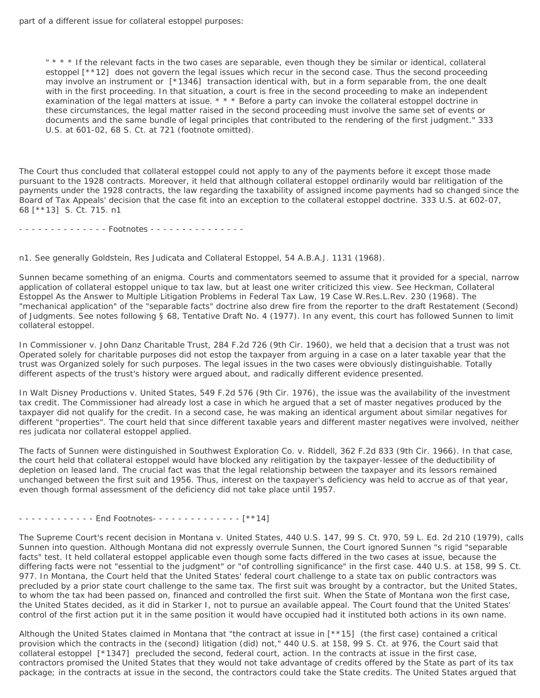" \* \* \* If the relevant facts in the two cases are separable, even though they be similar or identical, collateral estoppel [\*\*12] does not govern the legal issues which recur in the second case. Thus the second proceeding may involve an instrument or [\*1346] transaction identical with, but in a form separable from, the one dealt with in the first proceeding. In that situation, a court is free in the second proceeding to make an independent examination of the legal matters at issue. \* \* \* Before a party can invoke the collateral estoppel doctrine in these circumstances, the legal matter raised in the second proceeding must involve the same set of events or documents and the same bundle of legal principles that contributed to the rendering of the first judgment." 333 U.S. at 601-02, 68 S. Ct. at 721 (footnote omitted).

The Court thus concluded that collateral estoppel could not apply to any of the payments before it except those made pursuant to the 1928 contracts. Moreover, it held that although collateral estoppel ordinarily would bar relitigation of the payments under the 1928 contracts, the law regarding the taxability of assigned income payments had so changed since the Board of Tax Appeals' decision that the case fit into an exception to the collateral estoppel doctrine. 333 U.S. at 602-07, 68 [\*\*13] S. Ct. 715. n1

- - - - - - - - - - - - - - Footnotes - - - - - - - - - - - - - - -

n1. See generally Goldstein, Res Judicata and Collateral Estoppel, 54 A.B.A.J. 1131 (1968).

Sunnen became something of an enigma. Courts and commentators seemed to assume that it provided for a special, narrow application of collateral estoppel unique to tax law, but at least one writer criticized this view. See Heckman, Collateral Estoppel As the Answer to Multiple Litigation Problems in Federal Tax Law, 19 Case W.Res.L.Rev. 230 (1968). The "mechanical application" of the "separable facts" doctrine also drew fire from the reporter to the draft Restatement (Second) of Judgments. See notes following § 68, Tentative Draft No. 4 (1977). In any event, this court has followed Sunnen to limit collateral estoppel.

In Commissioner v. John Danz Charitable Trust, 284 F.2d 726 (9th Cir. 1960), we held that a decision that a trust was not Operated solely for charitable purposes did not estop the taxpayer from arguing in a case on a later taxable year that the trust was Organized solely for such purposes. The legal issues in the two cases were obviously distinguishable. Totally different aspects of the trust's history were argued about, and radically different evidence presented.

In Walt Disney Productions v. United States, 549 F.2d 576 (9th Cir. 1976), the issue was the availability of the investment tax credit. The Commissioner had already lost a case in which he argued that a set of master negatives produced by the taxpayer did not qualify for the credit. In a second case, he was making an identical argument about similar negatives for different "properties". The court held that since different taxable years and different master negatives were involved, neither res judicata nor collateral estoppel applied.

The facts of Sunnen were distinguished in Southwest Exploration Co. v. Riddell, 362 F.2d 833 (9th Cir. 1966). In that case, the court held that collateral estoppel would have blocked any relitigation by the taxpayer-lessee of the deductibility of depletion on leased land. The crucial fact was that the legal relationship between the taxpayer and its lessors remained unchanged between the first suit and 1956. Thus, interest on the taxpayer's deficiency was held to accrue as of that year, even though formal assessment of the deficiency did not take place until 1957.

- - - - - - - - - - - - End Footnotes- - - - - - - - - - - - - - [\*\*14]

The Supreme Court's recent decision in Montana v. United States, 440 U.S. 147, 99 S. Ct. 970, 59 L. Ed. 2d 210 (1979), calls Sunnen into question. Although Montana did not expressly overrule Sunnen, the Court ignored Sunnen "s rigid "separable facts" test. It held collateral estoppel applicable even though some facts differed in the two cases at issue, because the differing facts were not "essential to the judgment" or "of controlling significance" in the first case. 440 U.S. at 158, 99 S. Ct. 977. In Montana, the Court held that the United States' federal court challenge to a state tax on public contractors was precluded by a prior state court challenge to the same tax. The first suit was brought by a contractor, but the United States, to whom the tax had been passed on, financed and controlled the first suit. When the State of Montana won the first case, the United States decided, as it did in Starker I, not to pursue an available appeal. The Court found that the United States' control of the first action put it in the same position it would have occupied had it instituted both actions in its own name.

Although the United States claimed in Montana that "the contract at issue in [\*\*15] (the first case) contained a critical provision which the contracts in the (second) litigation (did) not," 440 U.S. at 158, 99 S. Ct. at 976, the Court said that collateral estoppel [\*1347] precluded the second, federal court, action. In the contracts at issue in the first case, contractors promised the United States that they would not take advantage of credits offered by the State as part of its tax package; in the contracts at issue in the second, the contractors could take the State credits. The United States argued that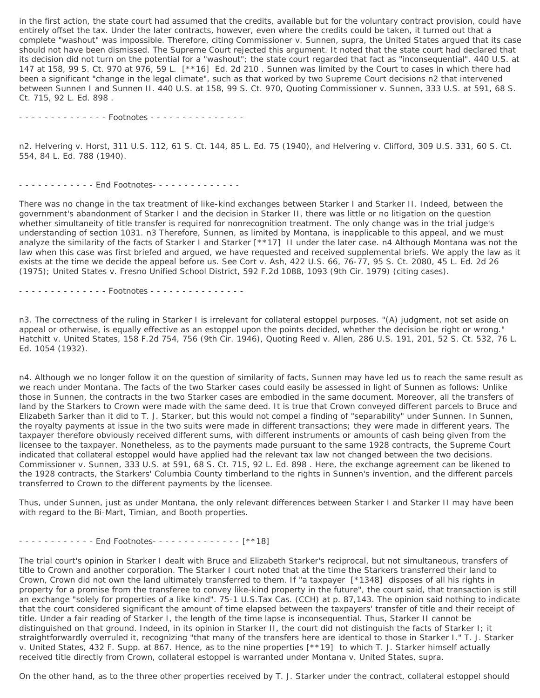in the first action, the state court had assumed that the credits, available but for the voluntary contract provision, could have entirely offset the tax. Under the later contracts, however, even where the credits could be taken, it turned out that a complete "washout" was impossible. Therefore, citing Commissioner v. Sunnen, supra, the United States argued that its case should not have been dismissed. The Supreme Court rejected this argument. It noted that the state court had declared that its decision did not turn on the potential for a "washout"; the state court regarded that fact as "inconsequential". 440 U.S. at 147 at 158, 99 S. Ct. 970 at 976, 59 L. [\*\*16] Ed. 2d 210 . Sunnen was limited by the Court to cases in which there had been a significant "change in the legal climate", such as that worked by two Supreme Court decisions n2 that intervened between Sunnen I and Sunnen II. 440 U.S. at 158, 99 S. Ct. 970, Quoting Commissioner v. Sunnen, 333 U.S. at 591, 68 S. Ct. 715, 92 L. Ed. 898 .

- - - - - - - - - - - - - - Footnotes - - - - - - - - - - - - - - -

n2. Helvering v. Horst, 311 U.S. 112, 61 S. Ct. 144, 85 L. Ed. 75 (1940), and Helvering v. Clifford, 309 U.S. 331, 60 S. Ct. 554, 84 L. Ed. 788 (1940).

- - - - - - - - - - - - End Footnotes- - - - - - - - - - - - - -

There was no change in the tax treatment of like-kind exchanges between Starker I and Starker II. Indeed, between the government's abandonment of Starker I and the decision in Starker II, there was little or no litigation on the question whether simultaneity of title transfer is required for nonrecognition treatment. The only change was in the trial judge's understanding of section 1031. n3 Therefore, Sunnen, as limited by Montana, is inapplicable to this appeal, and we must analyze the similarity of the facts of Starker I and Starker [\*\*17] II under the later case. n4 Although Montana was not the law when this case was first briefed and argued, we have requested and received supplemental briefs. We apply the law as it exists at the time we decide the appeal before us. See Cort v. Ash, 422 U.S. 66, 76-77, 95 S. Ct. 2080, 45 L. Ed. 2d 26 (1975); United States v. Fresno Unified School District, 592 F.2d 1088, 1093 (9th Cir. 1979) (citing cases).

- - - - - - - - - - - - - - Footnotes - - - - - - - - - - - - - - -

n3. The correctness of the ruling in Starker I is irrelevant for collateral estoppel purposes. "(A) judgment, not set aside on appeal or otherwise, is equally effective as an estoppel upon the points decided, whether the decision be right or wrong." Hatchitt v. United States, 158 F.2d 754, 756 (9th Cir. 1946), Quoting Reed v. Allen, 286 U.S. 191, 201, 52 S. Ct. 532, 76 L. Ed. 1054 (1932).

n4. Although we no longer follow it on the question of similarity of facts, Sunnen may have led us to reach the same result as we reach under Montana. The facts of the two Starker cases could easily be assessed in light of Sunnen as follows: Unlike those in Sunnen, the contracts in the two Starker cases are embodied in the same document. Moreover, all the transfers of land by the Starkers to Crown were made with the same deed. It is true that Crown conveyed different parcels to Bruce and Elizabeth Sarker than it did to T. J. Starker, but this would not compel a finding of "separability" under Sunnen. In Sunnen, the royalty payments at issue in the two suits were made in different transactions; they were made in different years. The taxpayer therefore obviously received different sums, with different instruments or amounts of cash being given from the licensee to the taxpayer. Nonetheless, as to the payments made pursuant to the same 1928 contracts, the Supreme Court indicated that collateral estoppel would have applied had the relevant tax law not changed between the two decisions. Commissioner v. Sunnen, 333 U.S. at 591, 68 S. Ct. 715, 92 L. Ed. 898 . Here, the exchange agreement can be likened to the 1928 contracts, the Starkers' Columbia County timberland to the rights in Sunnen's invention, and the different parcels transferred to Crown to the different payments by the licensee.

Thus, under Sunnen, just as under Montana, the only relevant differences between Starker I and Starker II may have been with regard to the Bi-Mart, Timian, and Booth properties.

- - - - - - - - - - - - End Footnotes- - - - - - - - - - - - - - [\*\*18]

The trial court's opinion in Starker I dealt with Bruce and Elizabeth Starker's reciprocal, but not simultaneous, transfers of title to Crown and another corporation. The Starker I court noted that at the time the Starkers transferred their land to Crown, Crown did not own the land ultimately transferred to them. If "a taxpayer [\*1348] disposes of all his rights in property for a promise from the transferee to convey like-kind property in the future", the court said, that transaction is still an exchange "solely for properties of a like kind". 75-1 U.S.Tax Cas. (CCH) at p. 87,143. The opinion said nothing to indicate that the court considered significant the amount of time elapsed between the taxpayers' transfer of title and their receipt of title. Under a fair reading of Starker I, the length of the time lapse is inconsequential. Thus, Starker II cannot be distinguished on that ground. Indeed, in its opinion in Starker II, the court did not distinguish the facts of Starker I; it straightforwardly overruled it, recognizing "that many of the transfers here are identical to those in Starker I." T. J. Starker v. United States, 432 F. Supp. at 867. Hence, as to the nine properties [\*\*19] to which T. J. Starker himself actually received title directly from Crown, collateral estoppel is warranted under Montana v. United States, supra.

On the other hand, as to the three other properties received by T. J. Starker under the contract, collateral estoppel should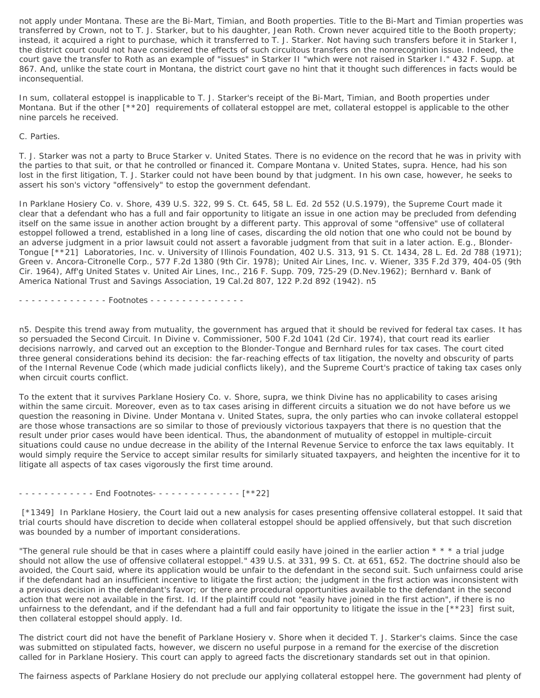not apply under Montana. These are the Bi-Mart, Timian, and Booth properties. Title to the Bi-Mart and Timian properties was transferred by Crown, not to T. J. Starker, but to his daughter, Jean Roth. Crown never acquired title to the Booth property; instead, it acquired a right to purchase, which it transferred to T. J. Starker. Not having such transfers before it in Starker I, the district court could not have considered the effects of such circuitous transfers on the nonrecognition issue. Indeed, the court gave the transfer to Roth as an example of "issues" in Starker II "which were not raised in Starker I." 432 F. Supp. at 867. And, unlike the state court in Montana, the district court gave no hint that it thought such differences in facts would be inconsequential.

In sum, collateral estoppel is inapplicable to T. J. Starker's receipt of the Bi-Mart, Timian, and Booth properties under Montana. But if the other [\*\*20] requirements of collateral estoppel are met, collateral estoppel is applicable to the other nine parcels he received.

# C. Parties.

T. J. Starker was not a party to Bruce Starker v. United States. There is no evidence on the record that he was in privity with the parties to that suit, or that he controlled or financed it. Compare Montana v. United States, supra. Hence, had his son lost in the first litigation, T. J. Starker could not have been bound by that judgment. In his own case, however, he seeks to assert his son's victory "offensively" to estop the government defendant.

In Parklane Hosiery Co. v. Shore, 439 U.S. 322, 99 S. Ct. 645, 58 L. Ed. 2d 552 (U.S.1979), the Supreme Court made it clear that a defendant who has a full and fair opportunity to litigate an issue in one action may be precluded from defending itself on the same issue in another action brought by a different party. This approval of some "offensive" use of collateral estoppel followed a trend, established in a long line of cases, discarding the old notion that one who could not be bound by an adverse judgment in a prior lawsuit could not assert a favorable judgment from that suit in a later action. E.g., Blonder-Tongue [\*\*21] Laboratories, Inc. v. University of Illinois Foundation, 402 U.S. 313, 91 S. Ct. 1434, 28 L. Ed. 2d 788 (1971); Green v. Ancora-Citronelle Corp., 577 F.2d 1380 (9th Cir. 1978); United Air Lines, Inc. v. Wiener, 335 F.2d 379, 404-05 (9th Cir. 1964), Aff'g United States v. United Air Lines, Inc., 216 F. Supp. 709, 725-29 (D.Nev.1962); Bernhard v. Bank of America National Trust and Savings Association, 19 Cal.2d 807, 122 P.2d 892 (1942). n5

- - - - - - - - - - - - - - Footnotes - - - - - - - - - - - - - - -

n5. Despite this trend away from mutuality, the government has argued that it should be revived for federal tax cases. It has so persuaded the Second Circuit. In Divine v. Commissioner, 500 F.2d 1041 (2d Cir. 1974), that court read its earlier decisions narrowly, and carved out an exception to the Blonder-Tongue and Bernhard rules for tax cases. The court cited three general considerations behind its decision: the far-reaching effects of tax litigation, the novelty and obscurity of parts of the Internal Revenue Code (which made judicial conflicts likely), and the Supreme Court's practice of taking tax cases only when circuit courts conflict.

To the extent that it survives Parklane Hosiery Co. v. Shore, supra, we think Divine has no applicability to cases arising within the same circuit. Moreover, even as to tax cases arising in different circuits a situation we do not have before us we question the reasoning in Divine. Under Montana v. United States, supra, the only parties who can invoke collateral estoppel are those whose transactions are so similar to those of previously victorious taxpayers that there is no question that the result under prior cases would have been identical. Thus, the abandonment of mutuality of estoppel in multiple-circuit situations could cause no undue decrease in the ability of the Internal Revenue Service to enforce the tax laws equitably. It would simply require the Service to accept similar results for similarly situated taxpayers, and heighten the incentive for it to litigate all aspects of tax cases vigorously the first time around.

## - - - - - - - - - - - - End Footnotes- - - - - - - - - - - - - - [\*\*22]

 [\*1349] In Parklane Hosiery, the Court laid out a new analysis for cases presenting offensive collateral estoppel. It said that trial courts should have discretion to decide when collateral estoppel should be applied offensively, but that such discretion was bounded by a number of important considerations.

"The general rule should be that in cases where a plaintiff could easily have joined in the earlier action  $* * a$  trial judge should not allow the use of offensive collateral estoppel." 439 U.S. at 331, 99 S. Ct. at 651, 652. The doctrine should also be avoided, the Court said, where its application would be unfair to the defendant in the second suit. Such unfairness could arise if the defendant had an insufficient incentive to litigate the first action; the judgment in the first action was inconsistent with a previous decision in the defendant's favor; or there are procedural opportunities available to the defendant in the second action that were not available in the first. Id. If the plaintiff could not "easily have joined in the first action", if there is no unfairness to the defendant, and if the defendant had a full and fair opportunity to litigate the issue in the [\*\*23] first suit, then collateral estoppel should apply. Id.

The district court did not have the benefit of Parklane Hosiery v. Shore when it decided T. J. Starker's claims. Since the case was submitted on stipulated facts, however, we discern no useful purpose in a remand for the exercise of the discretion called for in Parklane Hosiery. This court can apply to agreed facts the discretionary standards set out in that opinion.

The fairness aspects of Parklane Hosiery do not preclude our applying collateral estoppel here. The government had plenty of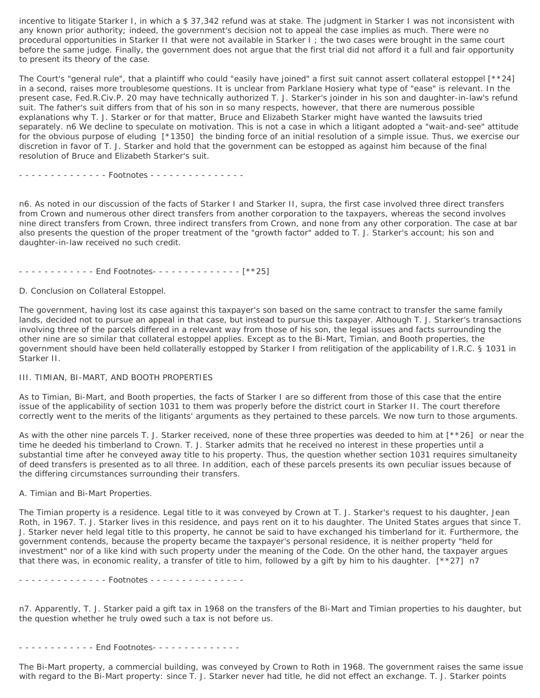incentive to litigate Starker I, in which a \$ 37,342 refund was at stake. The judgment in Starker I was not inconsistent with any known prior authority; indeed, the government's decision not to appeal the case implies as much. There were no procedural opportunities in Starker II that were not available in Starker I ; the two cases were brought in the same court before the same judge. Finally, the government does not argue that the first trial did not afford it a full and fair opportunity to present its theory of the case.

The Court's "general rule", that a plaintiff who could "easily have joined" a first suit cannot assert collateral estoppel [\*\*24] in a second, raises more troublesome questions. It is unclear from Parklane Hosiery what type of "ease" is relevant. In the present case, Fed.R.Civ.P. 20 may have technically authorized T. J. Starker's joinder in his son and daughter-in-law's refund suit. The father's suit differs from that of his son in so many respects, however, that there are numerous possible explanations why T. J. Starker or for that matter, Bruce and Elizabeth Starker might have wanted the lawsuits tried separately. n6 We decline to speculate on motivation. This is not a case in which a litigant adopted a "wait-and-see" attitude for the obvious purpose of eluding [\*1350] the binding force of an initial resolution of a simple issue. Thus, we exercise our discretion in favor of T. J. Starker and hold that the government can be estopped as against him because of the final resolution of Bruce and Elizabeth Starker's suit.

- - - - - - - - - - - - - - Footnotes - - - - - - - - - - - - - - -

n6. As noted in our discussion of the facts of Starker I and Starker II, supra, the first case involved three direct transfers from Crown and numerous other direct transfers from another corporation to the taxpayers, whereas the second involves nine direct transfers from Crown, three indirect transfers from Crown, and none from any other corporation. The case at bar also presents the question of the proper treatment of the "growth factor" added to T. J. Starker's account; his son and daughter-in-law received no such credit.

- - - - - - - - - - - End Footnotes - - - - - - - - - - - - - - [\*\*25]

D. Conclusion on Collateral Estoppel.

The government, having lost its case against this taxpayer's son based on the same contract to transfer the same family lands, decided not to pursue an appeal in that case, but instead to pursue this taxpayer. Although T. J. Starker's transactions involving three of the parcels differed in a relevant way from those of his son, the legal issues and facts surrounding the other nine are so similar that collateral estoppel applies. Except as to the Bi-Mart, Timian, and Booth properties, the government should have been held collaterally estopped by Starker I from relitigation of the applicability of I.R.C. § 1031 in Starker II.

## III. TIMIAN, BI-MART, AND BOOTH PROPERTIES

As to Timian, Bi-Mart, and Booth properties, the facts of Starker I are so different from those of this case that the entire issue of the applicability of section 1031 to them was properly before the district court in Starker II. The court therefore correctly went to the merits of the litigants' arguments as they pertained to these parcels. We now turn to those arguments.

As with the other nine parcels T. J. Starker received, none of these three properties was deeded to him at [\*\*26] or near the time he deeded his timberland to Crown. T. J. Starker admits that he received no interest in these properties until a substantial time after he conveyed away title to his property. Thus, the question whether section 1031 requires simultaneity of deed transfers is presented as to all three. In addition, each of these parcels presents its own peculiar issues because of the differing circumstances surrounding their transfers.

# A. Timian and Bi-Mart Properties.

The Timian property is a residence. Legal title to it was conveyed by Crown at T. J. Starker's request to his daughter, Jean Roth, in 1967. T. J. Starker lives in this residence, and pays rent on it to his daughter. The United States argues that since T. J. Starker never held legal title to this property, he cannot be said to have exchanged his timberland for it. Furthermore, the government contends, because the property became the taxpayer's personal residence, it is neither property "held for investment" nor of a like kind with such property under the meaning of the Code. On the other hand, the taxpayer argues that there was, in economic reality, a transfer of title to him, followed by a gift by him to his daughter.  $[^{**}27]$  n7

- - - - - - - - - - - - - - Footnotes - - - - - - - - - - - - - - -

n7. Apparently, T. J. Starker paid a gift tax in 1968 on the transfers of the Bi-Mart and Timian properties to his daughter, but the question whether he truly owed such a tax is not before us.

- - - - - - - - - - - - End Footnotes- - - - - - - - - - - - - -

The Bi-Mart property, a commercial building, was conveyed by Crown to Roth in 1968. The government raises the same issue with regard to the Bi-Mart property: since T. J. Starker never had title, he did not effect an exchange. T. J. Starker points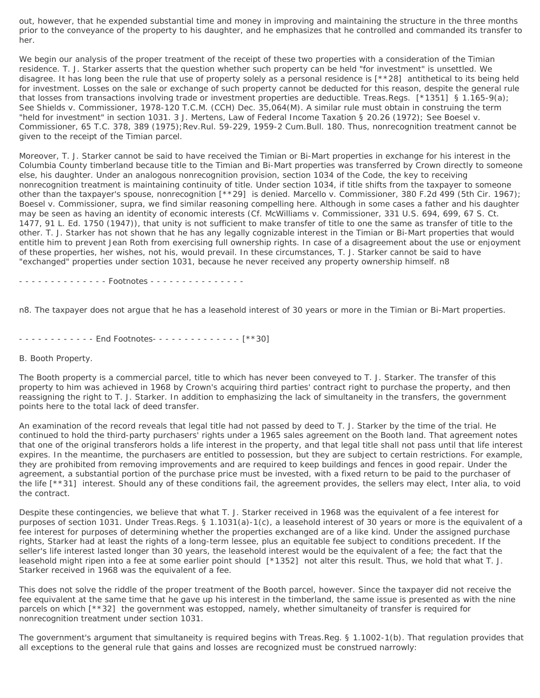out, however, that he expended substantial time and money in improving and maintaining the structure in the three months prior to the conveyance of the property to his daughter, and he emphasizes that he controlled and commanded its transfer to her.

We begin our analysis of the proper treatment of the receipt of these two properties with a consideration of the Timian residence. T. J. Starker asserts that the question whether such property can be held "for investment" is unsettled. We disagree. It has long been the rule that use of property solely as a personal residence is [\*\*28] antithetical to its being held for investment. Losses on the sale or exchange of such property cannot be deducted for this reason, despite the general rule that losses from transactions involving trade or investment properties are deductible. Treas.Regs. [\*1351] § 1.165-9(a); See Shields v. Commissioner, 1978-120 T.C.M. (CCH) Dec. 35,064(M). A similar rule must obtain in construing the term "held for investment" in section 1031. 3 J. Mertens, Law of Federal Income Taxation § 20.26 (1972); See Boesel v. Commissioner, 65 T.C. 378, 389 (1975);Rev.Rul. 59-229, 1959-2 Cum.Bull. 180. Thus, nonrecognition treatment cannot be given to the receipt of the Timian parcel.

Moreover, T. J. Starker cannot be said to have received the Timian or Bi-Mart properties in exchange for his interest in the Columbia County timberland because title to the Timian and Bi-Mart properties was transferred by Crown directly to someone else, his daughter. Under an analogous nonrecognition provision, section 1034 of the Code, the key to receiving nonrecognition treatment is maintaining continuity of title. Under section 1034, if title shifts from the taxpayer to someone other than the taxpayer's spouse, nonrecognition [\*\*29] is denied. Marcello v. Commissioner, 380 F.2d 499 (5th Cir. 1967); Boesel v. Commissioner, supra, we find similar reasoning compelling here. Although in some cases a father and his daughter may be seen as having an identity of economic interests (Cf. McWilliams v. Commissioner, 331 U.S. 694, 699, 67 S. Ct. 1477, 91 L. Ed. 1750 (1947)), that unity is not sufficient to make transfer of title to one the same as transfer of title to the other. T. J. Starker has not shown that he has any legally cognizable interest in the Timian or Bi-Mart properties that would entitle him to prevent Jean Roth from exercising full ownership rights. In case of a disagreement about the use or enjoyment of these properties, her wishes, not his, would prevail. In these circumstances, T. J. Starker cannot be said to have "exchanged" properties under section 1031, because he never received any property ownership himself. n8

- - - - - - - - - - - - - - Footnotes - - - - - - - - - - - - - - -

n8. The taxpayer does not argue that he has a leasehold interest of 30 years or more in the Timian or Bi-Mart properties.

- - - - - - - - - - - - End Footnotes- - - - - - - - - - - - - - [\*\*30]

B. Booth Property.

The Booth property is a commercial parcel, title to which has never been conveyed to T. J. Starker. The transfer of this property to him was achieved in 1968 by Crown's acquiring third parties' contract right to purchase the property, and then reassigning the right to T. J. Starker. In addition to emphasizing the lack of simultaneity in the transfers, the government points here to the total lack of deed transfer.

An examination of the record reveals that legal title had not passed by deed to T. J. Starker by the time of the trial. He continued to hold the third-party purchasers' rights under a 1965 sales agreement on the Booth land. That agreement notes that one of the original transferors holds a life interest in the property, and that legal title shall not pass until that life interest expires. In the meantime, the purchasers are entitled to possession, but they are subject to certain restrictions. For example, they are prohibited from removing improvements and are required to keep buildings and fences in good repair. Under the agreement, a substantial portion of the purchase price must be invested, with a fixed return to be paid to the purchaser of the life [\*\*31] interest. Should any of these conditions fail, the agreement provides, the sellers may elect, Inter alia, to void the contract.

Despite these contingencies, we believe that what T. J. Starker received in 1968 was the equivalent of a fee interest for purposes of section 1031. Under Treas.Regs. § 1.1031(a)-1(c), a leasehold interest of 30 years or more is the equivalent of a fee interest for purposes of determining whether the properties exchanged are of a like kind. Under the assigned purchase rights, Starker had at least the rights of a long-term lessee, plus an equitable fee subject to conditions precedent. If the seller's life interest lasted longer than 30 years, the leasehold interest would be the equivalent of a fee; the fact that the leasehold might ripen into a fee at some earlier point should [\*1352] not alter this result. Thus, we hold that what T. J. Starker received in 1968 was the equivalent of a fee.

This does not solve the riddle of the proper treatment of the Booth parcel, however. Since the taxpayer did not receive the fee equivalent at the same time that he gave up his interest in the timberland, the same issue is presented as with the nine parcels on which [\*\*32] the government was estopped, namely, whether simultaneity of transfer is required for nonrecognition treatment under section 1031.

The government's argument that simultaneity is required begins with Treas.Reg. § 1.1002-1(b). That regulation provides that all exceptions to the general rule that gains and losses are recognized must be construed narrowly: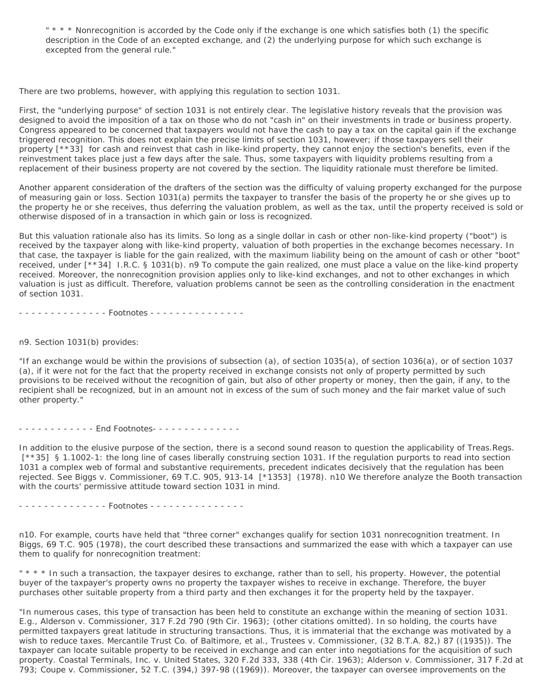" \* \* \* Nonrecognition is accorded by the Code only if the exchange is one which satisfies both (1) the specific description in the Code of an excepted exchange, and (2) the underlying purpose for which such exchange is excepted from the general rule."

There are two problems, however, with applying this regulation to section 1031.

First, the "underlying purpose" of section 1031 is not entirely clear. The legislative history reveals that the provision was designed to avoid the imposition of a tax on those who do not "cash in" on their investments in trade or business property. Congress appeared to be concerned that taxpayers would not have the cash to pay a tax on the capital gain if the exchange triggered recognition. This does not explain the precise limits of section 1031, however; if those taxpayers sell their property [\*\*33] for cash and reinvest that cash in like-kind property, they cannot enjoy the section's benefits, even if the reinvestment takes place just a few days after the sale. Thus, some taxpayers with liquidity problems resulting from a replacement of their business property are not covered by the section. The liquidity rationale must therefore be limited.

Another apparent consideration of the drafters of the section was the difficulty of valuing property exchanged for the purpose of measuring gain or loss. Section 1031(a) permits the taxpayer to transfer the basis of the property he or she gives up to the property he or she receives, thus deferring the valuation problem, as well as the tax, until the property received is sold or otherwise disposed of in a transaction in which gain or loss is recognized.

But this valuation rationale also has its limits. So long as a single dollar in cash or other non-like-kind property ("boot") is received by the taxpayer along with like-kind property, valuation of both properties in the exchange becomes necessary. In that case, the taxpayer is liable for the gain realized, with the maximum liability being on the amount of cash or other "boot" received, under [\*\*34] I.R.C. § 1031(b). n9 To compute the gain realized, one must place a value on the like-kind property received. Moreover, the nonrecognition provision applies only to like-kind exchanges, and not to other exchanges in which valuation is just as difficult. Therefore, valuation problems cannot be seen as the controlling consideration in the enactment of section 1031.

- - - - - - - - - - - - - - Footnotes - - - - - - - - - - - - - - -

n9. Section 1031(b) provides:

"If an exchange would be within the provisions of subsection (a), of section 1035(a), of section 1036(a), or of section 1037 (a), if it were not for the fact that the property received in exchange consists not only of property permitted by such provisions to be received without the recognition of gain, but also of other property or money, then the gain, if any, to the recipient shall be recognized, but in an amount not in excess of the sum of such money and the fair market value of such other property."

- - - - - - - - - - - - End Footnotes - - - - - - - - - - - - - -

In addition to the elusive purpose of the section, there is a second sound reason to question the applicability of Treas.Regs. [\*\*35] § 1.1002-1: the long line of cases liberally construing section 1031. If the regulation purports to read into section 1031 a complex web of formal and substantive requirements, precedent indicates decisively that the regulation has been rejected. See Biggs v. Commissioner, 69 T.C. 905, 913-14 [\*1353] (1978). n10 We therefore analyze the Booth transaction with the courts' permissive attitude toward section 1031 in mind.

- - - - - - - - - - - - - - Footnotes - - - - - - - - - - - - - - -

n10. For example, courts have held that "three corner" exchanges qualify for section 1031 nonrecognition treatment. In Biggs, 69 T.C. 905 (1978), the court described these transactions and summarized the ease with which a taxpayer can use them to qualify for nonrecognition treatment:

" \* \* \* In such a transaction, the taxpayer desires to exchange, rather than to sell, his property. However, the potential buyer of the taxpayer's property owns no property the taxpayer wishes to receive in exchange. Therefore, the buyer purchases other suitable property from a third party and then exchanges it for the property held by the taxpayer.

"In numerous cases, this type of transaction has been held to constitute an exchange within the meaning of section 1031. E.g., Alderson v. Commissioner, 317 F.2d 790 (9th Cir. 1963); (other citations omitted). In so holding, the courts have permitted taxpayers great latitude in structuring transactions. Thus, it is immaterial that the exchange was motivated by a wish to reduce taxes. Mercantile Trust Co. of Baltimore, et al., Trustees v. Commissioner, (32 B.T.A. 82,) 87 ((1935)). The taxpayer can locate suitable property to be received in exchange and can enter into negotiations for the acquisition of such property. Coastal Terminals, Inc. v. United States, 320 F.2d 333, 338 (4th Cir. 1963); Alderson v. Commissioner, 317 F.2d at 793; Coupe v. Commissioner, 52 T.C. (394,) 397-98 ((1969)). Moreover, the taxpayer can oversee improvements on the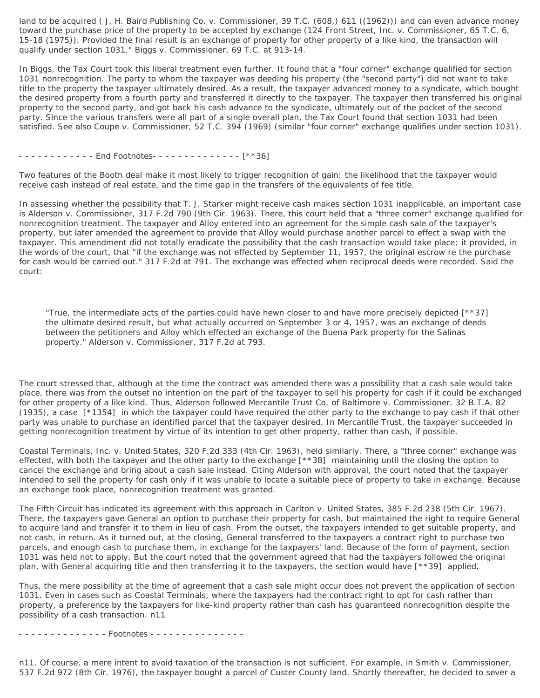land to be acquired ( J. H. Baird Publishing Co. v. Commissioner, 39 T.C. (608,) 611 ((1962))) and can even advance money toward the purchase price of the property to be accepted by exchange (124 Front Street, Inc. v. Commissioner, 65 T.C. 6, 15-18 (1975)). Provided the final result is an exchange of property for other property of a like kind, the transaction will qualify under section 1031." Biggs v. Commissioner, 69 T.C. at 913-14.

In Biggs, the Tax Court took this liberal treatment even further. It found that a "four corner" exchange qualified for section 1031 nonrecognition. The party to whom the taxpayer was deeding his property (the "second party") did not want to take title to the property the taxpayer ultimately desired. As a result, the taxpayer advanced money to a syndicate, which bought the desired property from a fourth party and transferred it directly to the taxpayer. The taxpayer then transferred his original property to the second party, and got back his cash advance to the syndicate, ultimately out of the pocket of the second party. Since the various transfers were all part of a single overall plan, the Tax Court found that section 1031 had been satisfied. See also Coupe v. Commissioner, 52 T.C. 394 (1969) (similar "four corner" exchange qualifies under section 1031).

- - - - - - - - - - - - End Footnotes- - - - - - - - - - - - - - [\*\*36]

Two features of the Booth deal make it most likely to trigger recognition of gain: the likelihood that the taxpayer would receive cash instead of real estate, and the time gap in the transfers of the equivalents of fee title.

In assessing whether the possibility that T. J. Starker might receive cash makes section 1031 inapplicable, an important case is Alderson v. Commissioner, 317 F.2d 790 (9th Cir. 1963). There, this court held that a "three corner" exchange qualified for nonrecognition treatment. The taxpayer and Alloy entered into an agreement for the simple cash sale of the taxpayer's property, but later amended the agreement to provide that Alloy would purchase another parcel to effect a swap with the taxpayer. This amendment did not totally eradicate the possibility that the cash transaction would take place; it provided, in the words of the court, that "if the exchange was not effected by September 11, 1957, the original escrow re the purchase for cash would be carried out." 317 F.2d at 791. The exchange was effected when reciprocal deeds were recorded. Said the court:

"True, the intermediate acts of the parties could have hewn closer to and have more precisely depicted  $[^{**}37]$ the ultimate desired result, but what actually occurred on September 3 or 4, 1957, was an exchange of deeds between the petitioners and Alloy which effected an exchange of the Buena Park property for the Salinas property." Alderson v. Commissioner, 317 F.2d at 793.

The court stressed that, although at the time the contract was amended there was a possibility that a cash sale would take place, there was from the outset no intention on the part of the taxpayer to sell his property for cash if it could be exchanged for other property of a like kind. Thus, Alderson followed Mercantile Trust Co. of Baltimore v. Commissioner, 32 B.T.A. 82 (1935), a case [\*1354] in which the taxpayer could have required the other party to the exchange to pay cash if that other party was unable to purchase an identified parcel that the taxpayer desired. In Mercantile Trust, the taxpayer succeeded in getting nonrecognition treatment by virtue of its intention to get other property, rather than cash, if possible.

Coastal Terminals, Inc. v. United States, 320 F.2d 333 (4th Cir. 1963), held similarly. There, a "three corner" exchange was effected, with both the taxpayer and the other party to the exchange [\*\*38] maintaining until the closing the option to cancel the exchange and bring about a cash sale instead. Citing Alderson with approval, the court noted that the taxpayer intended to sell the property for cash only if it was unable to locate a suitable piece of property to take in exchange. Because an exchange took place, nonrecognition treatment was granted.

The Fifth Circuit has indicated its agreement with this approach in Carlton v. United States, 385 F.2d 238 (5th Cir. 1967). There, the taxpayers gave General an option to purchase their property for cash, but maintained the right to require General to acquire land and transfer it to them in lieu of cash. From the outset, the taxpayers intended to get suitable property, and not cash, in return. As it turned out, at the closing, General transferred to the taxpayers a contract right to purchase two parcels, and enough cash to purchase them, in exchange for the taxpayers' land. Because of the form of payment, section 1031 was held not to apply. But the court noted that the government agreed that had the taxpayers followed the original plan, with General acquiring title and then transferring it to the taxpayers, the section would have [\*\*39] applied.

Thus, the mere possibility at the time of agreement that a cash sale might occur does not prevent the application of section 1031. Even in cases such as Coastal Terminals, where the taxpayers had the contract right to opt for cash rather than property, a preference by the taxpayers for like-kind property rather than cash has guaranteed nonrecognition despite the possibility of a cash transaction. n11

- - - - - - - - - - - - - - Footnotes - - - - - - - - - - - - - - -

n11. Of course, a mere intent to avoid taxation of the transaction is not sufficient. For example, in Smith v. Commissioner, 537 F.2d 972 (8th Cir. 1976), the taxpayer bought a parcel of Custer County land. Shortly thereafter, he decided to sever a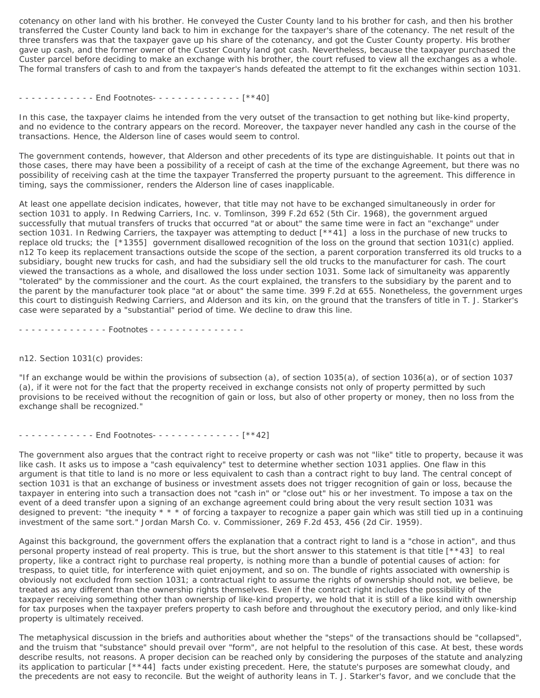cotenancy on other land with his brother. He conveyed the Custer County land to his brother for cash, and then his brother transferred the Custer County land back to him in exchange for the taxpayer's share of the cotenancy. The net result of the three transfers was that the taxpayer gave up his share of the cotenancy, and got the Custer County property. His brother gave up cash, and the former owner of the Custer County land got cash. Nevertheless, because the taxpayer purchased the Custer parcel before deciding to make an exchange with his brother, the court refused to view all the exchanges as a whole. The formal transfers of cash to and from the taxpayer's hands defeated the attempt to fit the exchanges within section 1031.

- - - - - - - - - - - - End Footnotes- - - - - - - - - - - - - - [\*\*40]

In this case, the taxpayer claims he intended from the very outset of the transaction to get nothing but like-kind property, and no evidence to the contrary appears on the record. Moreover, the taxpayer never handled any cash in the course of the transactions. Hence, the Alderson line of cases would seem to control.

The government contends, however, that Alderson and other precedents of its type are distinguishable. It points out that in those cases, there may have been a possibility of a receipt of cash at the time of the exchange Agreement, but there was no possibility of receiving cash at the time the taxpayer Transferred the property pursuant to the agreement. This difference in timing, says the commissioner, renders the Alderson line of cases inapplicable.

At least one appellate decision indicates, however, that title may not have to be exchanged simultaneously in order for section 1031 to apply. In Redwing Carriers, Inc. v. Tomlinson, 399 F.2d 652 (5th Cir. 1968), the government argued successfully that mutual transfers of trucks that occurred "at or about" the same time were in fact an "exchange" under section 1031. In Redwing Carriers, the taxpayer was attempting to deduct [\*\*41] a loss in the purchase of new trucks to replace old trucks; the [\*1355] government disallowed recognition of the loss on the ground that section 1031(c) applied. n12 To keep its replacement transactions outside the scope of the section, a parent corporation transferred its old trucks to a subsidiary, bought new trucks for cash, and had the subsidiary sell the old trucks to the manufacturer for cash. The court viewed the transactions as a whole, and disallowed the loss under section 1031. Some lack of simultaneity was apparently "tolerated" by the commissioner and the court. As the court explained, the transfers to the subsidiary by the parent and to the parent by the manufacturer took place "at or about" the same time. 399 F.2d at 655. Nonetheless, the government urges this court to distinguish Redwing Carriers, and Alderson and its kin, on the ground that the transfers of title in T. J. Starker's case were separated by a "substantial" period of time. We decline to draw this line.

- - - - - - - - - - - - - - Footnotes - - - - - - - - - - - - - - -

n12. Section 1031(c) provides:

"If an exchange would be within the provisions of subsection (a), of section 1035(a), of section 1036(a), or of section 1037 (a), if it were not for the fact that the property received in exchange consists not only of property permitted by such provisions to be received without the recognition of gain or loss, but also of other property or money, then no loss from the exchange shall be recognized."

- - - - - - - - - - - - End Footnotes- - - - - - - - - - - - - - [\*\*42]

The government also argues that the contract right to receive property or cash was not "like" title to property, because it was like cash. It asks us to impose a "cash equivalency" test to determine whether section 1031 applies. One flaw in this argument is that title to land is no more or less equivalent to cash than a contract right to buy land. The central concept of section 1031 is that an exchange of business or investment assets does not trigger recognition of gain or loss, because the taxpayer in entering into such a transaction does not "cash in" or "close out" his or her investment. To impose a tax on the event of a deed transfer upon a signing of an exchange agreement could bring about the very result section 1031 was designed to prevent: "the inequity \* \* \* of forcing a taxpayer to recognize a paper gain which was still tied up in a continuing investment of the same sort." Jordan Marsh Co. v. Commissioner, 269 F.2d 453, 456 (2d Cir. 1959).

Against this background, the government offers the explanation that a contract right to land is a "chose in action", and thus personal property instead of real property. This is true, but the short answer to this statement is that title [\*\*43] to real property, like a contract right to purchase real property, is nothing more than a bundle of potential causes of action: for trespass, to quiet title, for interference with quiet enjoyment, and so on. The bundle of rights associated with ownership is obviously not excluded from section 1031; a contractual right to assume the rights of ownership should not, we believe, be treated as any different than the ownership rights themselves. Even if the contract right includes the possibility of the taxpayer receiving something other than ownership of like-kind property, we hold that it is still of a like kind with ownership for tax purposes when the taxpayer prefers property to cash before and throughout the executory period, and only like-kind property is ultimately received.

The metaphysical discussion in the briefs and authorities about whether the "steps" of the transactions should be "collapsed", and the truism that "substance" should prevail over "form", are not helpful to the resolution of this case. At best, these words describe results, not reasons. A proper decision can be reached only by considering the purposes of the statute and analyzing its application to particular [\*\*44] facts under existing precedent. Here, the statute's purposes are somewhat cloudy, and the precedents are not easy to reconcile. But the weight of authority leans in T. J. Starker's favor, and we conclude that the